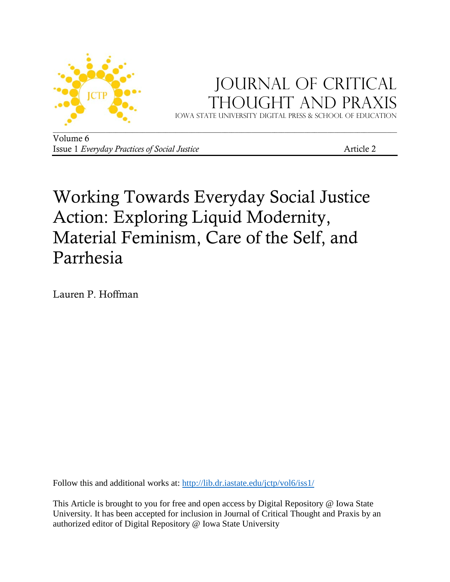

# Journal of critical Thought and Praxis

Iowa state university digital press & School of education

Volume 6 Issue 1 *Everyday Practices of Social Justice* Article 2

# Working Towards Everyday Social Justice Action: Exploring Liquid Modernity, Material Feminism, Care of the Self, and Parrhesia

Lauren P. Hoffman

Follow this and additional works at:<http://lib.dr.iastate.edu/jctp/vol6/iss1/>

This Article is brought to you for free and open access by Digital Repository @ Iowa State University. It has been accepted for inclusion in Journal of Critical Thought and Praxis by an authorized editor of Digital Repository @ Iowa State University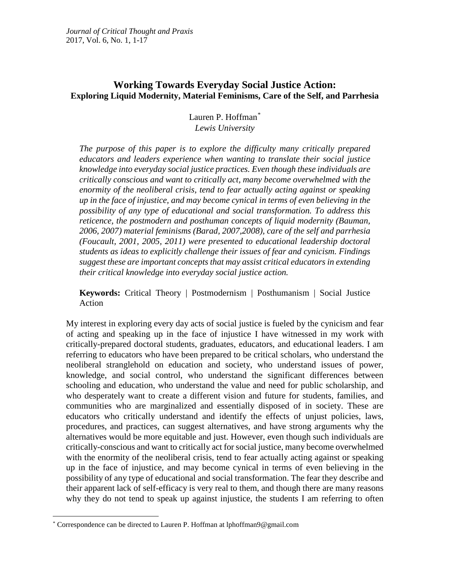# **Working Towards Everyday Social Justice Action: Exploring Liquid Modernity, Material Feminisms, Care of the Self, and Parrhesia**

Lauren P. Hoffman[\\*](#page-1-0) *Lewis University*

*The purpose of this paper is to explore the difficulty many critically prepared educators and leaders experience when wanting to translate their social justice knowledge into everyday social justice practices. Even though these individuals are critically conscious and want to critically act, many become overwhelmed with the enormity of the neoliberal crisis, tend to fear actually acting against or speaking up in the face of injustice, and may become cynical in terms of even believing in the possibility of any type of educational and social transformation. To address this reticence, the postmodern and posthuman concepts of liquid modernity (Bauman, 2006, 2007) material feminisms (Barad, 2007,2008), care of the self and parrhesia (Foucault, 2001, 2005, 2011) were presented to educational leadership doctoral students as ideas to explicitly challenge their issues of fear and cynicism. Findings suggest these are important concepts that may assist critical educators in extending their critical knowledge into everyday social justice action.*

**Keywords:** Critical Theory | Postmodernism | Posthumanism | Social Justice Action

My interest in exploring every day acts of social justice is fueled by the cynicism and fear of acting and speaking up in the face of injustice I have witnessed in my work with critically-prepared doctoral students, graduates, educators, and educational leaders. I am referring to educators who have been prepared to be critical scholars, who understand the neoliberal stranglehold on education and society, who understand issues of power, knowledge, and social control, who understand the significant differences between schooling and education, who understand the value and need for public scholarship, and who desperately want to create a different vision and future for students, families, and communities who are marginalized and essentially disposed of in society. These are educators who critically understand and identify the effects of unjust policies, laws, procedures, and practices, can suggest alternatives, and have strong arguments why the alternatives would be more equitable and just. However, even though such individuals are critically-conscious and want to critically act for social justice, many become overwhelmed with the enormity of the neoliberal crisis, tend to fear actually acting against or speaking up in the face of injustice, and may become cynical in terms of even believing in the possibility of any type of educational and social transformation. The fear they describe and their apparent lack of self-efficacy is very real to them, and though there are many reasons why they do not tend to speak up against injustice, the students I am referring to often

<span id="page-1-0"></span> <sup>\*</sup> Correspondence can be directed to Lauren P. Hoffman at lphoffman9@gmail.com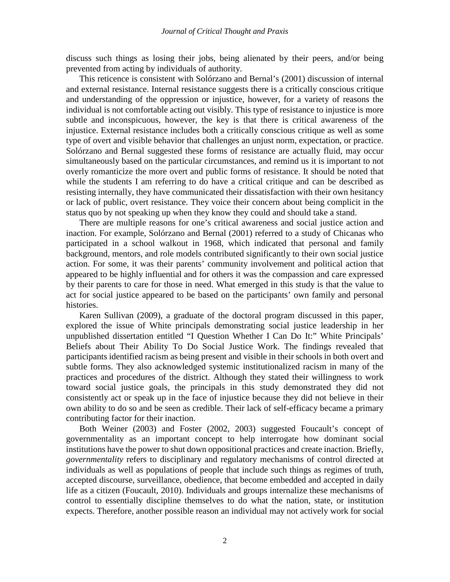discuss such things as losing their jobs, being alienated by their peers, and/or being prevented from acting by individuals of authority.

This reticence is consistent with Solórzano and Bernal's (2001) discussion of internal and external resistance. Internal resistance suggests there is a critically conscious critique and understanding of the oppression or injustice, however, for a variety of reasons the individual is not comfortable acting out visibly. This type of resistance to injustice is more subtle and inconspicuous, however, the key is that there is critical awareness of the injustice. External resistance includes both a critically conscious critique as well as some type of overt and visible behavior that challenges an unjust norm, expectation, or practice. Solórzano and Bernal suggested these forms of resistance are actually fluid, may occur simultaneously based on the particular circumstances, and remind us it is important to not overly romanticize the more overt and public forms of resistance. It should be noted that while the students I am referring to do have a critical critique and can be described as resisting internally, they have communicated their dissatisfaction with their own hesitancy or lack of public, overt resistance. They voice their concern about being complicit in the status quo by not speaking up when they know they could and should take a stand.

There are multiple reasons for one's critical awareness and social justice action and inaction. For example, Solórzano and Bernal (2001) referred to a study of Chicanas who participated in a school walkout in 1968, which indicated that personal and family background, mentors, and role models contributed significantly to their own social justice action. For some, it was their parents' community involvement and political action that appeared to be highly influential and for others it was the compassion and care expressed by their parents to care for those in need. What emerged in this study is that the value to act for social justice appeared to be based on the participants' own family and personal histories.

Karen Sullivan (2009), a graduate of the doctoral program discussed in this paper, explored the issue of White principals demonstrating social justice leadership in her unpublished dissertation entitled "I Question Whether I Can Do It:" White Principals' Beliefs about Their Ability To Do Social Justice Work. The findings revealed that participants identified racism as being present and visible in their schools in both overt and subtle forms. They also acknowledged systemic institutionalized racism in many of the practices and procedures of the district. Although they stated their willingness to work toward social justice goals, the principals in this study demonstrated they did not consistently act or speak up in the face of injustice because they did not believe in their own ability to do so and be seen as credible. Their lack of self-efficacy became a primary contributing factor for their inaction.

Both Weiner (2003) and Foster (2002, 2003) suggested Foucault's concept of governmentality as an important concept to help interrogate how dominant social institutions have the power to shut down oppositional practices and create inaction. Briefly, *governmentality* refers to disciplinary and regulatory mechanisms of control directed at individuals as well as populations of people that include such things as regimes of truth, accepted discourse, surveillance, obedience, that become embedded and accepted in daily life as a citizen (Foucault, 2010). Individuals and groups internalize these mechanisms of control to essentially discipline themselves to do what the nation, state, or institution expects. Therefore, another possible reason an individual may not actively work for social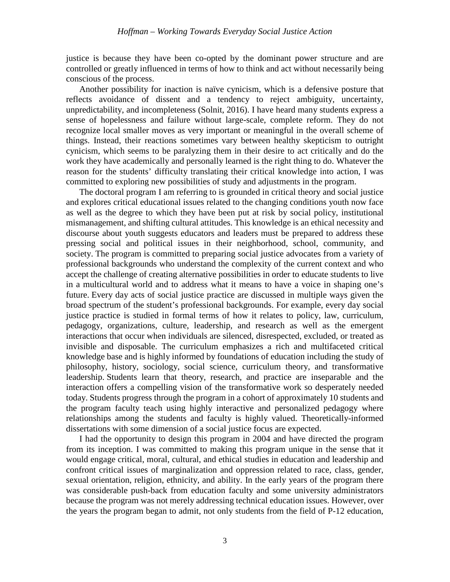justice is because they have been co-opted by the dominant power structure and are controlled or greatly influenced in terms of how to think and act without necessarily being conscious of the process.

Another possibility for inaction is naïve cynicism, which is a defensive posture that reflects avoidance of dissent and a tendency to reject ambiguity, uncertainty, unpredictability, and incompleteness (Solnit, 2016). I have heard many students express a sense of hopelessness and failure without large-scale, complete reform. They do not recognize local smaller moves as very important or meaningful in the overall scheme of things. Instead, their reactions sometimes vary between healthy skepticism to outright cynicism, which seems to be paralyzing them in their desire to act critically and do the work they have academically and personally learned is the right thing to do. Whatever the reason for the students' difficulty translating their critical knowledge into action, I was committed to exploring new possibilities of study and adjustments in the program.

The doctoral program I am referring to is grounded in critical theory and social justice and explores critical educational issues related to the changing conditions youth now face as well as the degree to which they have been put at risk by social policy, institutional mismanagement, and shifting cultural attitudes. This knowledge is an ethical necessity and discourse about youth suggests educators and leaders must be prepared to address these pressing social and political issues in their neighborhood, school, community, and society. The program is committed to preparing social justice advocates from a variety of professional backgrounds who understand the complexity of the current context and who accept the challenge of creating alternative possibilities in order to educate students to live in a multicultural world and to address what it means to have a voice in shaping one's future. Every day acts of social justice practice are discussed in multiple ways given the broad spectrum of the student's professional backgrounds. For example, every day social justice practice is studied in formal terms of how it relates to policy, law, curriculum, pedagogy, organizations, culture, leadership, and research as well as the emergent interactions that occur when individuals are silenced, disrespected, excluded, or treated as invisible and disposable. The curriculum emphasizes a rich and multifaceted critical knowledge base and is highly informed by foundations of education including the study of philosophy, history, sociology, social science, curriculum theory, and transformative leadership. Students learn that theory, research, and practice are inseparable and the interaction offers a compelling vision of the transformative work so desperately needed today. Students progress through the program in a cohort of approximately 10 students and the program faculty teach using highly interactive and personalized pedagogy where relationships among the students and faculty is highly valued. Theoretically-informed dissertations with some dimension of a social justice focus are expected.

I had the opportunity to design this program in 2004 and have directed the program from its inception. I was committed to making this program unique in the sense that it would engage critical, moral, cultural, and ethical studies in education and leadership and confront critical issues of marginalization and oppression related to race, class, gender, sexual orientation, religion, ethnicity, and ability. In the early years of the program there was considerable push-back from education faculty and some university administrators because the program was not merely addressing technical education issues. However, over the years the program began to admit, not only students from the field of P-12 education,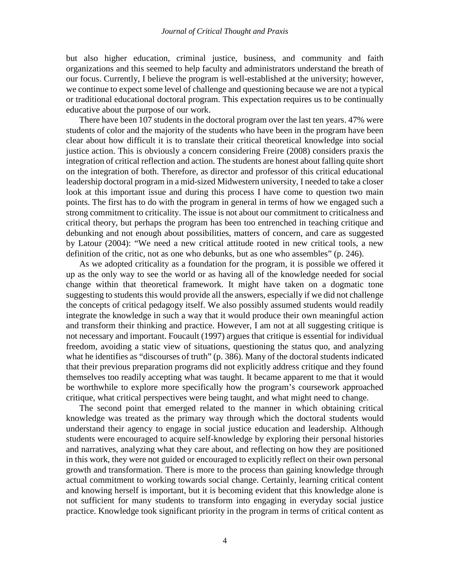#### *Journal of Critical Thought and Praxis*

but also higher education, criminal justice, business, and community and faith organizations and this seemed to help faculty and administrators understand the breath of our focus. Currently, I believe the program is well-established at the university; however, we continue to expect some level of challenge and questioning because we are not a typical or traditional educational doctoral program. This expectation requires us to be continually educative about the purpose of our work.

There have been 107 students in the doctoral program over the last ten years. 47% were students of color and the majority of the students who have been in the program have been clear about how difficult it is to translate their critical theoretical knowledge into social justice action. This is obviously a concern considering Freire (2008) considers praxis the integration of critical reflection and action. The students are honest about falling quite short on the integration of both. Therefore, as director and professor of this critical educational leadership doctoral program in a mid-sized Midwestern university, I needed to take a closer look at this important issue and during this process I have come to question two main points. The first has to do with the program in general in terms of how we engaged such a strong commitment to criticality. The issue is not about our commitment to criticalness and critical theory, but perhaps the program has been too entrenched in teaching critique and debunking and not enough about possibilities, matters of concern, and care as suggested by Latour (2004): "We need a new critical attitude rooted in new critical tools, a new definition of the critic, not as one who debunks, but as one who assembles" (p. 246).

As we adopted criticality as a foundation for the program, it is possible we offered it up as the only way to see the world or as having all of the knowledge needed for social change within that theoretical framework. It might have taken on a dogmatic tone suggesting to students this would provide all the answers, especially if we did not challenge the concepts of critical pedagogy itself. We also possibly assumed students would readily integrate the knowledge in such a way that it would produce their own meaningful action and transform their thinking and practice. However, I am not at all suggesting critique is not necessary and important. Foucault (1997) argues that critique is essential for individual freedom, avoiding a static view of situations, questioning the status quo, and analyzing what he identifies as "discourses of truth" (p. 386). Many of the doctoral students indicated that their previous preparation programs did not explicitly address critique and they found themselves too readily accepting what was taught. It became apparent to me that it would be worthwhile to explore more specifically how the program's coursework approached critique, what critical perspectives were being taught, and what might need to change.

The second point that emerged related to the manner in which obtaining critical knowledge was treated as the primary way through which the doctoral students would understand their agency to engage in social justice education and leadership. Although students were encouraged to acquire self-knowledge by exploring their personal histories and narratives, analyzing what they care about, and reflecting on how they are positioned in this work, they were not guided or encouraged to explicitly reflect on their own personal growth and transformation. There is more to the process than gaining knowledge through actual commitment to working towards social change. Certainly, learning critical content and knowing herself is important, but it is becoming evident that this knowledge alone is not sufficient for many students to transform into engaging in everyday social justice practice. Knowledge took significant priority in the program in terms of critical content as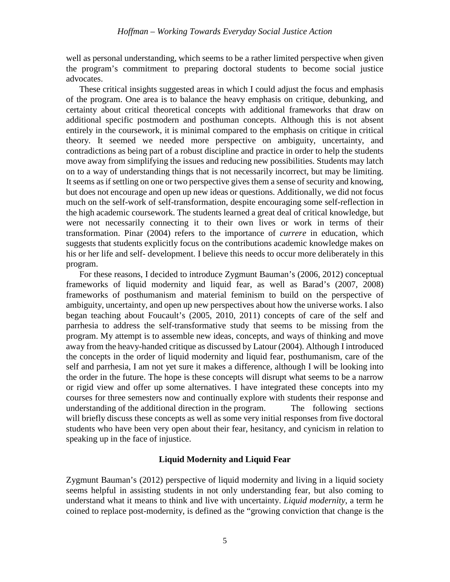well as personal understanding, which seems to be a rather limited perspective when given the program's commitment to preparing doctoral students to become social justice advocates.

These critical insights suggested areas in which I could adjust the focus and emphasis of the program. One area is to balance the heavy emphasis on critique, debunking, and certainty about critical theoretical concepts with additional frameworks that draw on additional specific postmodern and posthuman concepts. Although this is not absent entirely in the coursework, it is minimal compared to the emphasis on critique in critical theory. It seemed we needed more perspective on ambiguity, uncertainty, and contradictions as being part of a robust discipline and practice in order to help the students move away from simplifying the issues and reducing new possibilities. Students may latch on to a way of understanding things that is not necessarily incorrect, but may be limiting. It seems as if settling on one or two perspective gives them a sense of security and knowing, but does not encourage and open up new ideas or questions. Additionally, we did not focus much on the self-work of self-transformation, despite encouraging some self-reflection in the high academic coursework. The students learned a great deal of critical knowledge, but were not necessarily connecting it to their own lives or work in terms of their transformation. Pinar (2004) refers to the importance of *currere* in education, which suggests that students explicitly focus on the contributions academic knowledge makes on his or her life and self- development. I believe this needs to occur more deliberately in this program.

For these reasons, I decided to introduce Zygmunt Bauman's (2006, 2012) conceptual frameworks of liquid modernity and liquid fear, as well as Barad's (2007, 2008) frameworks of posthumanism and material feminism to build on the perspective of ambiguity, uncertainty, and open up new perspectives about how the universe works. I also began teaching about Foucault's (2005, 2010, 2011) concepts of care of the self and parrhesia to address the self-transformative study that seems to be missing from the program. My attempt is to assemble new ideas, concepts, and ways of thinking and move away from the heavy-handed critique as discussed by Latour (2004). Although I introduced the concepts in the order of liquid modernity and liquid fear, posthumanism, care of the self and parrhesia, I am not yet sure it makes a difference, although I will be looking into the order in the future. The hope is these concepts will disrupt what seems to be a narrow or rigid view and offer up some alternatives. I have integrated these concepts into my courses for three semesters now and continually explore with students their response and understanding of the additional direction in the program. The following sections will briefly discuss these concepts as well as some very initial responses from five doctoral students who have been very open about their fear, hesitancy, and cynicism in relation to speaking up in the face of injustice.

# **Liquid Modernity and Liquid Fear**

Zygmunt Bauman's (2012) perspective of liquid modernity and living in a liquid society seems helpful in assisting students in not only understanding fear, but also coming to understand what it means to think and live with uncertainty. *Liquid modernity*, a term he coined to replace post-modernity, is defined as the "growing conviction that change is the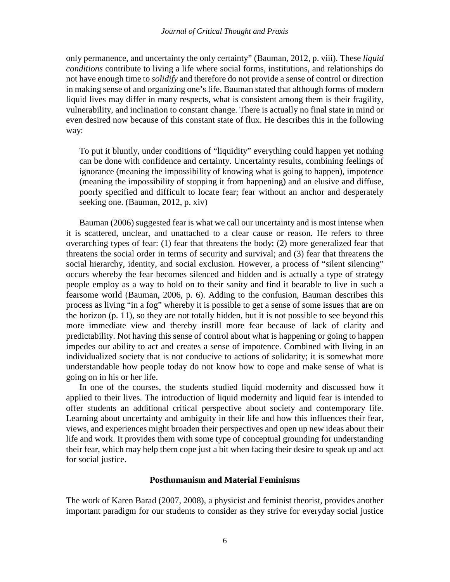#### *Journal of Critical Thought and Praxis*

only permanence, and uncertainty the only certainty" (Bauman, 2012, p. viii). These *liquid conditions* contribute to living a life where social forms, institutions, and relationships do not have enough time to *solidify* and therefore do not provide a sense of control or direction in making sense of and organizing one's life. Bauman stated that although forms of modern liquid lives may differ in many respects, what is consistent among them is their fragility, vulnerability, and inclination to constant change. There is actually no final state in mind or even desired now because of this constant state of flux. He describes this in the following way:

To put it bluntly, under conditions of "liquidity" everything could happen yet nothing can be done with confidence and certainty. Uncertainty results, combining feelings of ignorance (meaning the impossibility of knowing what is going to happen), impotence (meaning the impossibility of stopping it from happening) and an elusive and diffuse, poorly specified and difficult to locate fear; fear without an anchor and desperately seeking one. (Bauman, 2012, p. xiv)

Bauman (2006) suggested fear is what we call our uncertainty and is most intense when it is scattered, unclear, and unattached to a clear cause or reason. He refers to three overarching types of fear: (1) fear that threatens the body; (2) more generalized fear that threatens the social order in terms of security and survival; and (3) fear that threatens the social hierarchy, identity, and social exclusion. However, a process of "silent silencing" occurs whereby the fear becomes silenced and hidden and is actually a type of strategy people employ as a way to hold on to their sanity and find it bearable to live in such a fearsome world (Bauman, 2006, p. 6). Adding to the confusion, Bauman describes this process as living "in a fog" whereby it is possible to get a sense of some issues that are on the horizon (p. 11), so they are not totally hidden, but it is not possible to see beyond this more immediate view and thereby instill more fear because of lack of clarity and predictability. Not having this sense of control about what is happening or going to happen impedes our ability to act and creates a sense of impotence. Combined with living in an individualized society that is not conducive to actions of solidarity; it is somewhat more understandable how people today do not know how to cope and make sense of what is going on in his or her life.

In one of the courses, the students studied liquid modernity and discussed how it applied to their lives. The introduction of liquid modernity and liquid fear is intended to offer students an additional critical perspective about society and contemporary life. Learning about uncertainty and ambiguity in their life and how this influences their fear, views, and experiences might broaden their perspectives and open up new ideas about their life and work. It provides them with some type of conceptual grounding for understanding their fear, which may help them cope just a bit when facing their desire to speak up and act for social justice.

### **Posthumanism and Material Feminisms**

The work of Karen Barad (2007, 2008), a physicist and feminist theorist, provides another important paradigm for our students to consider as they strive for everyday social justice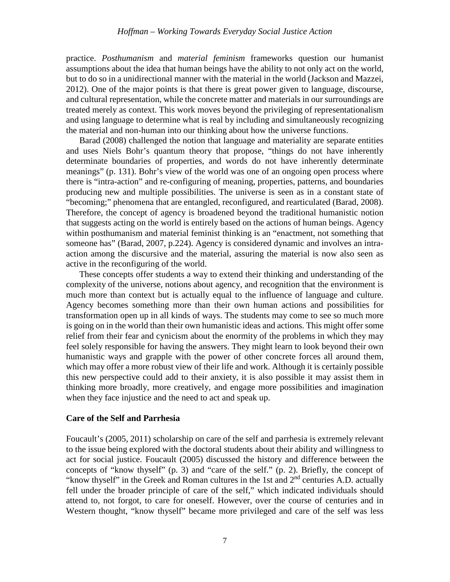practice. *Posthumanism* and *material feminism* frameworks question our humanist assumptions about the idea that human beings have the ability to not only act on the world, but to do so in a unidirectional manner with the material in the world (Jackson and Mazzei, 2012). One of the major points is that there is great power given to language, discourse, and cultural representation, while the concrete matter and materials in our surroundings are treated merely as context. This work moves beyond the privileging of representationalism and using language to determine what is real by including and simultaneously recognizing the material and non-human into our thinking about how the universe functions.

Barad (2008) challenged the notion that language and materiality are separate entities and uses Niels Bohr's quantum theory that propose, "things do not have inherently determinate boundaries of properties, and words do not have inherently determinate meanings" (p. 131). Bohr's view of the world was one of an ongoing open process where there is "intra-action" and re-configuring of meaning, properties, patterns, and boundaries producing new and multiple possibilities. The universe is seen as in a constant state of "becoming;" phenomena that are entangled, reconfigured, and rearticulated (Barad, 2008). Therefore, the concept of agency is broadened beyond the traditional humanistic notion that suggests acting on the world is entirely based on the actions of human beings. Agency within posthumanism and material feminist thinking is an "enactment, not something that someone has" (Barad, 2007, p.224). Agency is considered dynamic and involves an intraaction among the discursive and the material, assuring the material is now also seen as active in the reconfiguring of the world.

These concepts offer students a way to extend their thinking and understanding of the complexity of the universe, notions about agency, and recognition that the environment is much more than context but is actually equal to the influence of language and culture. Agency becomes something more than their own human actions and possibilities for transformation open up in all kinds of ways. The students may come to see so much more is going on in the world than their own humanistic ideas and actions. This might offer some relief from their fear and cynicism about the enormity of the problems in which they may feel solely responsible for having the answers. They might learn to look beyond their own humanistic ways and grapple with the power of other concrete forces all around them, which may offer a more robust view of their life and work. Although it is certainly possible this new perspective could add to their anxiety, it is also possible it may assist them in thinking more broadly, more creatively, and engage more possibilities and imagination when they face injustice and the need to act and speak up.

# **Care of the Self and Parrhesia**

Foucault's (2005, 2011) scholarship on care of the self and parrhesia is extremely relevant to the issue being explored with the doctoral students about their ability and willingness to act for social justice. Foucault (2005) discussed the history and difference between the concepts of "know thyself" (p. 3) and "care of the self." (p. 2). Briefly, the concept of "know thyself" in the Greek and Roman cultures in the 1st and 2<sup>nd</sup> centuries A.D. actually fell under the broader principle of care of the self," which indicated individuals should attend to, not forgot, to care for oneself. However, over the course of centuries and in Western thought, "know thyself" became more privileged and care of the self was less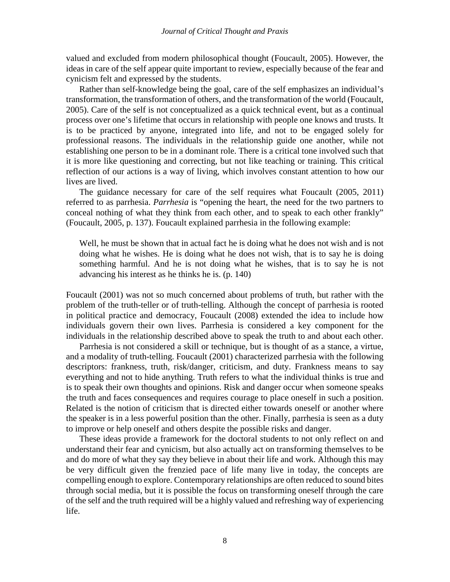valued and excluded from modern philosophical thought (Foucault, 2005). However, the ideas in care of the self appear quite important to review, especially because of the fear and cynicism felt and expressed by the students.

Rather than self-knowledge being the goal, care of the self emphasizes an individual's transformation, the transformation of others, and the transformation of the world (Foucault, 2005). Care of the self is not conceptualized as a quick technical event, but as a continual process over one's lifetime that occurs in relationship with people one knows and trusts. It is to be practiced by anyone, integrated into life, and not to be engaged solely for professional reasons. The individuals in the relationship guide one another, while not establishing one person to be in a dominant role. There is a critical tone involved such that it is more like questioning and correcting, but not like teaching or training. This critical reflection of our actions is a way of living, which involves constant attention to how our lives are lived.

The guidance necessary for care of the self requires what Foucault (2005, 2011) referred to as parrhesia. *Parrhesia* is "opening the heart, the need for the two partners to conceal nothing of what they think from each other, and to speak to each other frankly" (Foucault, 2005, p. 137). Foucault explained parrhesia in the following example:

Well, he must be shown that in actual fact he is doing what he does not wish and is not doing what he wishes. He is doing what he does not wish, that is to say he is doing something harmful. And he is not doing what he wishes, that is to say he is not advancing his interest as he thinks he is. (p. 140)

Foucault (2001) was not so much concerned about problems of truth, but rather with the problem of the truth-teller or of truth-telling. Although the concept of parrhesia is rooted in political practice and democracy, Foucault (2008) extended the idea to include how individuals govern their own lives. Parrhesia is considered a key component for the individuals in the relationship described above to speak the truth to and about each other.

Parrhesia is not considered a skill or technique, but is thought of as a stance, a virtue, and a modality of truth-telling. Foucault (2001) characterized parrhesia with the following descriptors: frankness, truth, risk/danger, criticism, and duty. Frankness means to say everything and not to hide anything. Truth refers to what the individual thinks is true and is to speak their own thoughts and opinions. Risk and danger occur when someone speaks the truth and faces consequences and requires courage to place oneself in such a position. Related is the notion of criticism that is directed either towards oneself or another where the speaker is in a less powerful position than the other. Finally, parrhesia is seen as a duty to improve or help oneself and others despite the possible risks and danger.

These ideas provide a framework for the doctoral students to not only reflect on and understand their fear and cynicism, but also actually act on transforming themselves to be and do more of what they say they believe in about their life and work. Although this may be very difficult given the frenzied pace of life many live in today, the concepts are compelling enough to explore. Contemporary relationships are often reduced to sound bites through social media, but it is possible the focus on transforming oneself through the care of the self and the truth required will be a highly valued and refreshing way of experiencing life.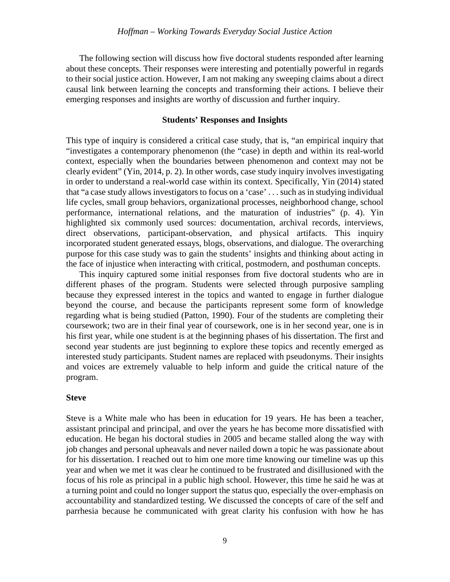The following section will discuss how five doctoral students responded after learning about these concepts. Their responses were interesting and potentially powerful in regards to their social justice action. However, I am not making any sweeping claims about a direct causal link between learning the concepts and transforming their actions. I believe their emerging responses and insights are worthy of discussion and further inquiry.

# **Students' Responses and Insights**

This type of inquiry is considered a critical case study, that is, "an empirical inquiry that "investigates a contemporary phenomenon (the "case) in depth and within its real-world context, especially when the boundaries between phenomenon and context may not be clearly evident" (Yin, 2014, p. 2). In other words, case study inquiry involves investigating in order to understand a real-world case within its context. Specifically, Yin (2014) stated that "a case study allows investigators to focus on a 'case' . . . such as in studying individual life cycles, small group behaviors, organizational processes, neighborhood change, school performance, international relations, and the maturation of industries" (p. 4). Yin highlighted six commonly used sources: documentation, archival records, interviews, direct observations, participant-observation, and physical artifacts. This inquiry incorporated student generated essays, blogs, observations, and dialogue. The overarching purpose for this case study was to gain the students' insights and thinking about acting in the face of injustice when interacting with critical, postmodern, and posthuman concepts.

This inquiry captured some initial responses from five doctoral students who are in different phases of the program. Students were selected through purposive sampling because they expressed interest in the topics and wanted to engage in further dialogue beyond the course, and because the participants represent some form of knowledge regarding what is being studied (Patton, 1990). Four of the students are completing their coursework; two are in their final year of coursework, one is in her second year, one is in his first year, while one student is at the beginning phases of his dissertation. The first and second year students are just beginning to explore these topics and recently emerged as interested study participants. Student names are replaced with pseudonyms. Their insights and voices are extremely valuable to help inform and guide the critical nature of the program.

### **Steve**

Steve is a White male who has been in education for 19 years. He has been a teacher, assistant principal and principal, and over the years he has become more dissatisfied with education. He began his doctoral studies in 2005 and became stalled along the way with job changes and personal upheavals and never nailed down a topic he was passionate about for his dissertation. I reached out to him one more time knowing our timeline was up this year and when we met it was clear he continued to be frustrated and disillusioned with the focus of his role as principal in a public high school. However, this time he said he was at a turning point and could no longer support the status quo, especially the over-emphasis on accountability and standardized testing. We discussed the concepts of care of the self and parrhesia because he communicated with great clarity his confusion with how he has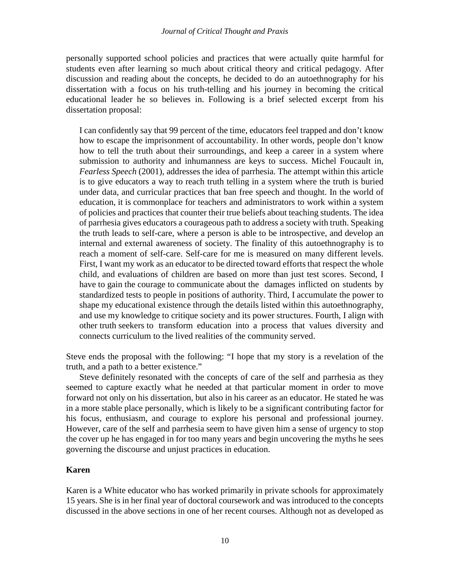personally supported school policies and practices that were actually quite harmful for students even after learning so much about critical theory and critical pedagogy. After discussion and reading about the concepts, he decided to do an autoethnography for his dissertation with a focus on his truth-telling and his journey in becoming the critical educational leader he so believes in. Following is a brief selected excerpt from his dissertation proposal:

I can confidently say that 99 percent of the time, educators feel trapped and don't know how to escape the imprisonment of accountability. In other words, people don't know how to tell the truth about their surroundings, and keep a career in a system where submission to authority and inhumanness are keys to success. Michel Foucault in, *Fearless Speech* (2001)*,* addresses the idea of parrhesia. The attempt within this article is to give educators a way to reach truth telling in a system where the truth is buried under data, and curricular practices that ban free speech and thought. In the world of education, it is commonplace for teachers and administrators to work within a system of policies and practices that counter their true beliefs about teaching students. The idea of parrhesia gives educators a courageous path to address a society with truth. Speaking the truth leads to self-care, where a person is able to be introspective, and develop an internal and external awareness of society. The finality of this autoethnography is to reach a moment of self-care. Self-care for me is measured on many different levels. First, I want my work as an educator to be directed toward efforts that respect the whole child, and evaluations of children are based on more than just test scores. Second, I have to gain the courage to communicate about the damages inflicted on students by standardized tests to people in positions of authority. Third, I accumulate the power to shape my educational existence through the details listed within this autoethnography, and use my knowledge to critique society and its power structures. Fourth, I align with other truth seekers to transform education into a process that values diversity and connects curriculum to the lived realities of the community served.

Steve ends the proposal with the following: "I hope that my story is a revelation of the truth, and a path to a better existence."

Steve definitely resonated with the concepts of care of the self and parrhesia as they seemed to capture exactly what he needed at that particular moment in order to move forward not only on his dissertation, but also in his career as an educator. He stated he was in a more stable place personally, which is likely to be a significant contributing factor for his focus, enthusiasm, and courage to explore his personal and professional journey. However, care of the self and parrhesia seem to have given him a sense of urgency to stop the cover up he has engaged in for too many years and begin uncovering the myths he sees governing the discourse and unjust practices in education.

# **Karen**

Karen is a White educator who has worked primarily in private schools for approximately 15 years. She is in her final year of doctoral coursework and was introduced to the concepts discussed in the above sections in one of her recent courses. Although not as developed as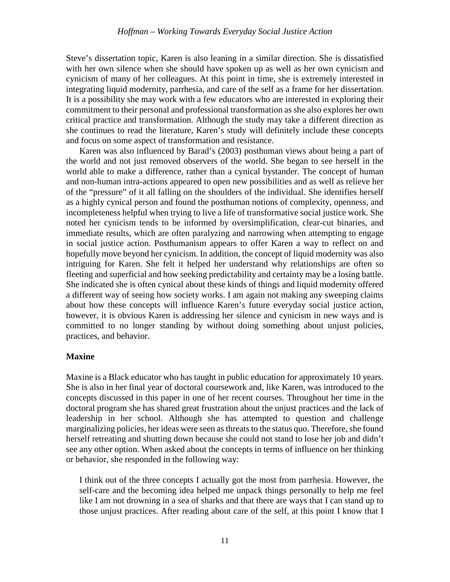Steve's dissertation topic, Karen is also leaning in a similar direction. She is dissatisfied with her own silence when she should have spoken up as well as her own cynicism and cynicism of many of her colleagues. At this point in time, she is extremely interested in integrating liquid modernity, parrhesia, and care of the self as a frame for her dissertation. It is a possibility she may work with a few educators who are interested in exploring their commitment to their personal and professional transformation as she also explores her own critical practice and transformation. Although the study may take a different direction as she continues to read the literature, Karen's study will definitely include these concepts and focus on some aspect of transformation and resistance.

Karen was also influenced by Barad's (2003) posthuman views about being a part of the world and not just removed observers of the world. She began to see herself in the world able to make a difference, rather than a cynical bystander. The concept of human and non-human intra-actions appeared to open new possibilities and as well as relieve her of the "pressure" of it all falling on the shoulders of the individual. She identifies herself as a highly cynical person and found the posthuman notions of complexity, openness, and incompleteness helpful when trying to live a life of transformative social justice work. She noted her cynicism tends to be informed by oversimplification, clear-cut binaries, and immediate results, which are often paralyzing and narrowing when attempting to engage in social justice action. Posthumanism appears to offer Karen a way to reflect on and hopefully move beyond her cynicism. In addition, the concept of liquid modernity was also intriguing for Karen. She felt it helped her understand why relationships are often so fleeting and superficial and how seeking predictability and certainty may be a losing battle. She indicated she is often cynical about these kinds of things and liquid modernity offered a different way of seeing how society works. I am again not making any sweeping claims about how these concepts will influence Karen's future everyday social justice action, however, it is obvious Karen is addressing her silence and cynicism in new ways and is committed to no longer standing by without doing something about unjust policies, practices, and behavior.

# **Maxine**

Maxine is a Black educator who has taught in public education for approximately 10 years. She is also in her final year of doctoral coursework and, like Karen, was introduced to the concepts discussed in this paper in one of her recent courses. Throughout her time in the doctoral program she has shared great frustration about the unjust practices and the lack of leadership in her school. Although she has attempted to question and challenge marginalizing policies, her ideas were seen as threats to the status quo. Therefore, she found herself retreating and shutting down because she could not stand to lose her job and didn't see any other option. When asked about the concepts in terms of influence on her thinking or behavior, she responded in the following way:

I think out of the three concepts I actually got the most from parrhesia. However, the self-care and the becoming idea helped me unpack things personally to help me feel like I am not drowning in a sea of sharks and that there are ways that I can stand up to those unjust practices. After reading about care of the self, at this point I know that I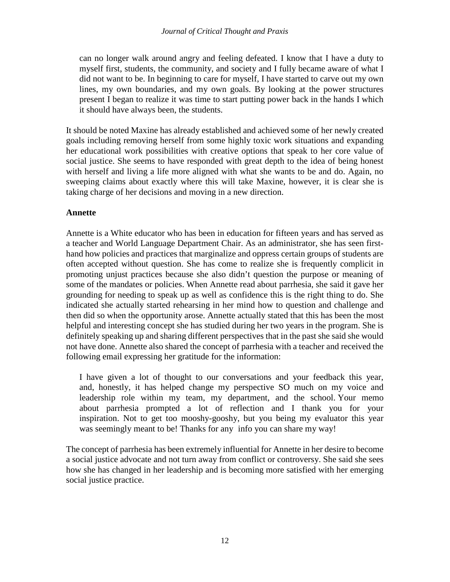can no longer walk around angry and feeling defeated. I know that I have a duty to myself first, students, the community, and society and I fully became aware of what I did not want to be. In beginning to care for myself, I have started to carve out my own lines, my own boundaries, and my own goals. By looking at the power structures present I began to realize it was time to start putting power back in the hands I which it should have always been, the students.

It should be noted Maxine has already established and achieved some of her newly created goals including removing herself from some highly toxic work situations and expanding her educational work possibilities with creative options that speak to her core value of social justice. She seems to have responded with great depth to the idea of being honest with herself and living a life more aligned with what she wants to be and do. Again, no sweeping claims about exactly where this will take Maxine, however, it is clear she is taking charge of her decisions and moving in a new direction.

# **Annette**

Annette is a White educator who has been in education for fifteen years and has served as a teacher and World Language Department Chair. As an administrator, she has seen firsthand how policies and practices that marginalize and oppress certain groups of students are often accepted without question. She has come to realize she is frequently complicit in promoting unjust practices because she also didn't question the purpose or meaning of some of the mandates or policies. When Annette read about parrhesia, she said it gave her grounding for needing to speak up as well as confidence this is the right thing to do. She indicated she actually started rehearsing in her mind how to question and challenge and then did so when the opportunity arose. Annette actually stated that this has been the most helpful and interesting concept she has studied during her two years in the program. She is definitely speaking up and sharing different perspectives that in the past she said she would not have done. Annette also shared the concept of parrhesia with a teacher and received the following email expressing her gratitude for the information:

I have given a lot of thought to our conversations and your feedback this year, and, honestly, it has helped change my perspective SO much on my voice and leadership role within my team, my department, and the school. Your memo about parrhesia prompted a lot of reflection and I thank you for your inspiration. Not to get too mooshy-gooshy, but you being my evaluator this year was seemingly meant to be! Thanks for any info you can share my way!

The concept of parrhesia has been extremely influential for Annette in her desire to become a social justice advocate and not turn away from conflict or controversy. She said she sees how she has changed in her leadership and is becoming more satisfied with her emerging social justice practice.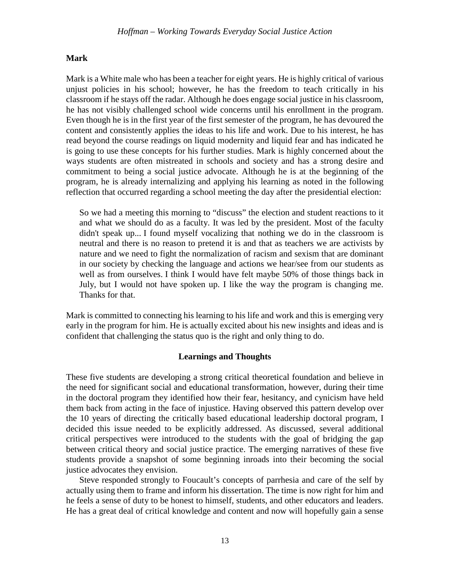# **Mark**

Mark is a White male who has been a teacher for eight years. He is highly critical of various unjust policies in his school; however, he has the freedom to teach critically in his classroom if he stays off the radar. Although he does engage social justice in his classroom, he has not visibly challenged school wide concerns until his enrollment in the program. Even though he is in the first year of the first semester of the program, he has devoured the content and consistently applies the ideas to his life and work. Due to his interest, he has read beyond the course readings on liquid modernity and liquid fear and has indicated he is going to use these concepts for his further studies. Mark is highly concerned about the ways students are often mistreated in schools and society and has a strong desire and commitment to being a social justice advocate. Although he is at the beginning of the program, he is already internalizing and applying his learning as noted in the following reflection that occurred regarding a school meeting the day after the presidential election:

So we had a meeting this morning to "discuss" the election and student reactions to it and what we should do as a faculty. It was led by the president. Most of the faculty didn't speak up... I found myself vocalizing that nothing we do in the classroom is neutral and there is no reason to pretend it is and that as teachers we are activists by nature and we need to fight the normalization of racism and sexism that are dominant in our society by checking the language and actions we hear/see from our students as well as from ourselves. I think I would have felt maybe 50% of those things back in July, but I would not have spoken up. I like the way the program is changing me. Thanks for that.

Mark is committed to connecting his learning to his life and work and this is emerging very early in the program for him. He is actually excited about his new insights and ideas and is confident that challenging the status quo is the right and only thing to do.

# **Learnings and Thoughts**

These five students are developing a strong critical theoretical foundation and believe in the need for significant social and educational transformation, however, during their time in the doctoral program they identified how their fear, hesitancy, and cynicism have held them back from acting in the face of injustice. Having observed this pattern develop over the 10 years of directing the critically based educational leadership doctoral program, I decided this issue needed to be explicitly addressed. As discussed, several additional critical perspectives were introduced to the students with the goal of bridging the gap between critical theory and social justice practice. The emerging narratives of these five students provide a snapshot of some beginning inroads into their becoming the social justice advocates they envision.

Steve responded strongly to Foucault's concepts of parrhesia and care of the self by actually using them to frame and inform his dissertation. The time is now right for him and he feels a sense of duty to be honest to himself, students, and other educators and leaders. He has a great deal of critical knowledge and content and now will hopefully gain a sense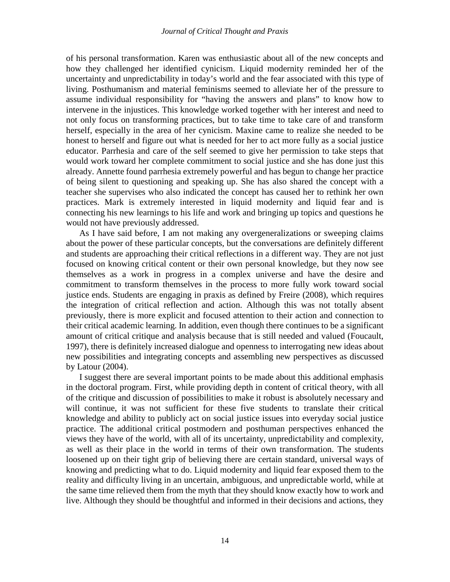of his personal transformation. Karen was enthusiastic about all of the new concepts and how they challenged her identified cynicism. Liquid modernity reminded her of the uncertainty and unpredictability in today's world and the fear associated with this type of living. Posthumanism and material feminisms seemed to alleviate her of the pressure to assume individual responsibility for "having the answers and plans" to know how to intervene in the injustices. This knowledge worked together with her interest and need to not only focus on transforming practices, but to take time to take care of and transform herself, especially in the area of her cynicism. Maxine came to realize she needed to be honest to herself and figure out what is needed for her to act more fully as a social justice educator. Parrhesia and care of the self seemed to give her permission to take steps that would work toward her complete commitment to social justice and she has done just this already. Annette found parrhesia extremely powerful and has begun to change her practice of being silent to questioning and speaking up. She has also shared the concept with a teacher she supervises who also indicated the concept has caused her to rethink her own practices. Mark is extremely interested in liquid modernity and liquid fear and is connecting his new learnings to his life and work and bringing up topics and questions he would not have previously addressed.

As I have said before, I am not making any overgeneralizations or sweeping claims about the power of these particular concepts, but the conversations are definitely different and students are approaching their critical reflections in a different way. They are not just focused on knowing critical content or their own personal knowledge, but they now see themselves as a work in progress in a complex universe and have the desire and commitment to transform themselves in the process to more fully work toward social justice ends. Students are engaging in praxis as defined by Freire (2008), which requires the integration of critical reflection and action. Although this was not totally absent previously, there is more explicit and focused attention to their action and connection to their critical academic learning. In addition, even though there continues to be a significant amount of critical critique and analysis because that is still needed and valued (Foucault, 1997), there is definitely increased dialogue and openness to interrogating new ideas about new possibilities and integrating concepts and assembling new perspectives as discussed by Latour (2004).

I suggest there are several important points to be made about this additional emphasis in the doctoral program. First, while providing depth in content of critical theory, with all of the critique and discussion of possibilities to make it robust is absolutely necessary and will continue, it was not sufficient for these five students to translate their critical knowledge and ability to publicly act on social justice issues into everyday social justice practice. The additional critical postmodern and posthuman perspectives enhanced the views they have of the world, with all of its uncertainty, unpredictability and complexity, as well as their place in the world in terms of their own transformation. The students loosened up on their tight grip of believing there are certain standard, universal ways of knowing and predicting what to do. Liquid modernity and liquid fear exposed them to the reality and difficulty living in an uncertain, ambiguous, and unpredictable world, while at the same time relieved them from the myth that they should know exactly how to work and live. Although they should be thoughtful and informed in their decisions and actions, they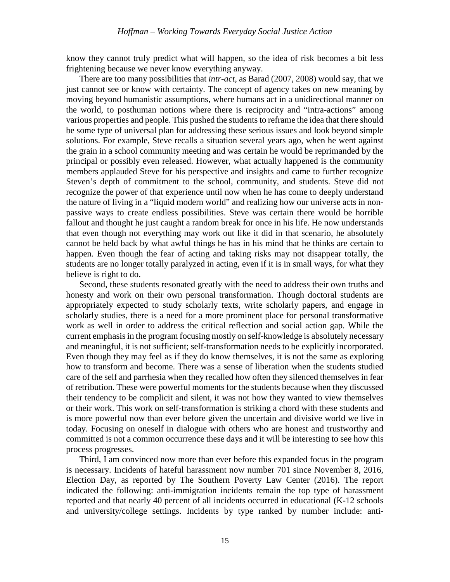know they cannot truly predict what will happen, so the idea of risk becomes a bit less frightening because we never know everything anyway.

There are too many possibilities that *intr-act*, as Barad (2007, 2008) would say, that we just cannot see or know with certainty. The concept of agency takes on new meaning by moving beyond humanistic assumptions, where humans act in a unidirectional manner on the world, to posthuman notions where there is reciprocity and "intra-actions" among various properties and people. This pushed the students to reframe the idea that there should be some type of universal plan for addressing these serious issues and look beyond simple solutions. For example, Steve recalls a situation several years ago, when he went against the grain in a school community meeting and was certain he would be reprimanded by the principal or possibly even released. However, what actually happened is the community members applauded Steve for his perspective and insights and came to further recognize Steven's depth of commitment to the school, community, and students. Steve did not recognize the power of that experience until now when he has come to deeply understand the nature of living in a "liquid modern world" and realizing how our universe acts in nonpassive ways to create endless possibilities. Steve was certain there would be horrible fallout and thought he just caught a random break for once in his life. He now understands that even though not everything may work out like it did in that scenario, he absolutely cannot be held back by what awful things he has in his mind that he thinks are certain to happen. Even though the fear of acting and taking risks may not disappear totally, the students are no longer totally paralyzed in acting, even if it is in small ways, for what they believe is right to do.

Second, these students resonated greatly with the need to address their own truths and honesty and work on their own personal transformation. Though doctoral students are appropriately expected to study scholarly texts, write scholarly papers, and engage in scholarly studies, there is a need for a more prominent place for personal transformative work as well in order to address the critical reflection and social action gap. While the current emphasis in the program focusing mostly on self-knowledge is absolutely necessary and meaningful, it is not sufficient; self-transformation needs to be explicitly incorporated. Even though they may feel as if they do know themselves, it is not the same as exploring how to transform and become. There was a sense of liberation when the students studied care of the self and parrhesia when they recalled how often they silenced themselves in fear of retribution. These were powerful moments for the students because when they discussed their tendency to be complicit and silent, it was not how they wanted to view themselves or their work. This work on self-transformation is striking a chord with these students and is more powerful now than ever before given the uncertain and divisive world we live in today. Focusing on oneself in dialogue with others who are honest and trustworthy and committed is not a common occurrence these days and it will be interesting to see how this process progresses.

Third, I am convinced now more than ever before this expanded focus in the program is necessary. Incidents of hateful harassment now number 701 since November 8, 2016, Election Day, as reported by The Southern Poverty Law Center (2016). The report indicated the following: anti-immigration incidents remain the top type of harassment reported and that nearly 40 percent of all incidents occurred in educational (K-12 schools and university/college settings. Incidents by type ranked by number include: anti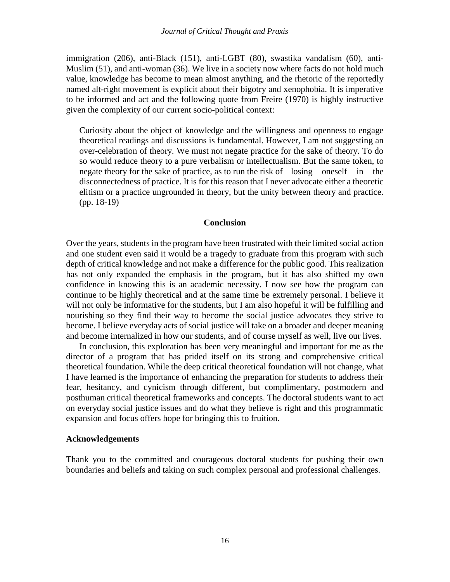immigration (206), anti-Black (151), anti-LGBT (80), swastika vandalism (60), anti-Muslim (51), and anti-woman (36). We live in a society now where facts do not hold much value, knowledge has become to mean almost anything, and the rhetoric of the reportedly named alt-right movement is explicit about their bigotry and xenophobia. It is imperative to be informed and act and the following quote from Freire (1970) is highly instructive given the complexity of our current socio-political context:

Curiosity about the object of knowledge and the willingness and openness to engage theoretical readings and discussions is fundamental. However, I am not suggesting an over-celebration of theory. We must not negate practice for the sake of theory. To do so would reduce theory to a pure verbalism or intellectualism. But the same token, to negate theory for the sake of practice, as to run the risk of losing oneself in the disconnectedness of practice. It is for this reason that I never advocate either a theoretic elitism or a practice ungrounded in theory, but the unity between theory and practice. (pp. 18-19)

## **Conclusion**

Over the years, students in the program have been frustrated with their limited social action and one student even said it would be a tragedy to graduate from this program with such depth of critical knowledge and not make a difference for the public good. This realization has not only expanded the emphasis in the program, but it has also shifted my own confidence in knowing this is an academic necessity. I now see how the program can continue to be highly theoretical and at the same time be extremely personal. I believe it will not only be informative for the students, but I am also hopeful it will be fulfilling and nourishing so they find their way to become the social justice advocates they strive to become. I believe everyday acts of social justice will take on a broader and deeper meaning and become internalized in how our students, and of course myself as well, live our lives.

In conclusion, this exploration has been very meaningful and important for me as the director of a program that has prided itself on its strong and comprehensive critical theoretical foundation. While the deep critical theoretical foundation will not change, what I have learned is the importance of enhancing the preparation for students to address their fear, hesitancy, and cynicism through different, but complimentary, postmodern and posthuman critical theoretical frameworks and concepts. The doctoral students want to act on everyday social justice issues and do what they believe is right and this programmatic expansion and focus offers hope for bringing this to fruition.

## **Acknowledgements**

Thank you to the committed and courageous doctoral students for pushing their own boundaries and beliefs and taking on such complex personal and professional challenges.